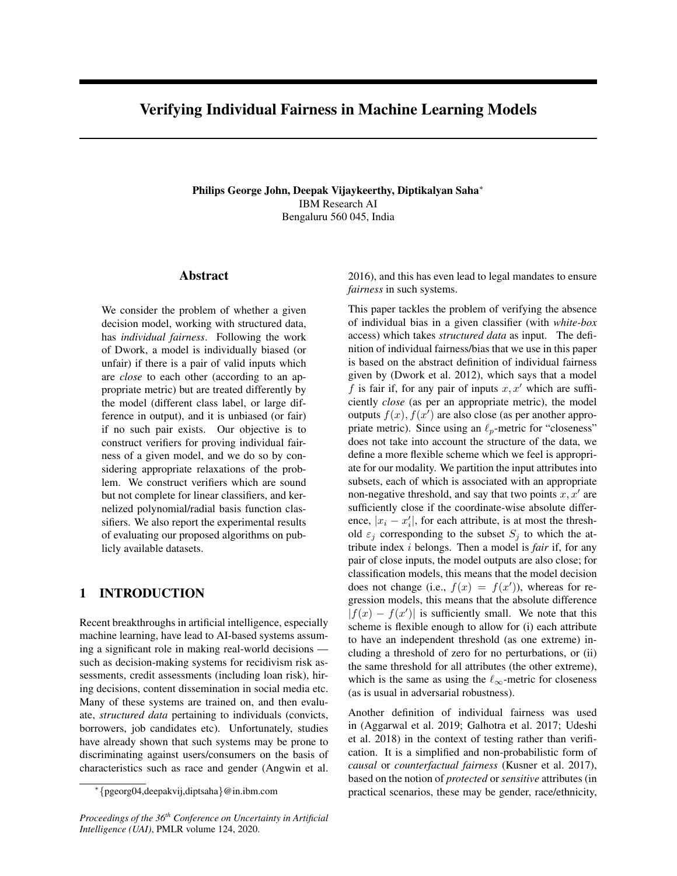# Verifying Individual Fairness in Machine Learning Models

Philips George John, Deepak Vijaykeerthy, Diptikalyan Saha<sup>∗</sup> IBM Research AI Bengaluru 560 045, India

# Abstract

We consider the problem of whether a given decision model, working with structured data, has *individual fairness*. Following the work of Dwork, a model is individually biased (or unfair) if there is a pair of valid inputs which are *close* to each other (according to an appropriate metric) but are treated differently by the model (different class label, or large difference in output), and it is unbiased (or fair) if no such pair exists. Our objective is to construct verifiers for proving individual fairness of a given model, and we do so by considering appropriate relaxations of the problem. We construct verifiers which are sound but not complete for linear classifiers, and kernelized polynomial/radial basis function classifiers. We also report the experimental results of evaluating our proposed algorithms on publicly available datasets.

# 1 INTRODUCTION

Recent breakthroughs in artificial intelligence, especially machine learning, have lead to AI-based systems assuming a significant role in making real-world decisions such as decision-making systems for recidivism risk assessments, credit assessments (including loan risk), hiring decisions, content dissemination in social media etc. Many of these systems are trained on, and then evaluate, *structured data* pertaining to individuals (convicts, borrowers, job candidates etc). Unfortunately, studies have already shown that such systems may be prone to discriminating against users/consumers on the basis of characteristics such as race and gender (Angwin et al.

2016), and this has even lead to legal mandates to ensure *fairness* in such systems.

This paper tackles the problem of verifying the absence of individual bias in a given classifier (with *white-box* access) which takes *structured data* as input. The definition of individual fairness/bias that we use in this paper is based on the abstract definition of individual fairness given by (Dwork et al. 2012), which says that a model f is fair if, for any pair of inputs  $x, x'$  which are sufficiently *close* (as per an appropriate metric), the model outputs  $f(x)$ ,  $f(x')$  are also close (as per another appropriate metric). Since using an  $\ell_p$ -metric for "closeness" does not take into account the structure of the data, we define a more flexible scheme which we feel is appropriate for our modality. We partition the input attributes into subsets, each of which is associated with an appropriate non-negative threshold, and say that two points  $x, x'$  are sufficiently close if the coordinate-wise absolute difference,  $|x_i - x'_i|$ , for each attribute, is at most the threshold  $\varepsilon_j$  corresponding to the subset  $S_j$  to which the attribute index i belongs. Then a model is *fair* if, for any pair of close inputs, the model outputs are also close; for classification models, this means that the model decision does not change (i.e.,  $f(x) = f(x')$ ), whereas for regression models, this means that the absolute difference  $|f(x) - f(x')|$  is sufficiently small. We note that this scheme is flexible enough to allow for (i) each attribute to have an independent threshold (as one extreme) including a threshold of zero for no perturbations, or (ii) the same threshold for all attributes (the other extreme), which is the same as using the  $\ell_{\infty}$ -metric for closeness (as is usual in adversarial robustness).

Another definition of individual fairness was used in (Aggarwal et al. 2019; Galhotra et al. 2017; Udeshi et al. 2018) in the context of testing rather than verification. It is a simplified and non-probabilistic form of *causal* or *counterfactual fairness* (Kusner et al. 2017), based on the notion of *protected* or *sensitive* attributes (in practical scenarios, these may be gender, race/ethnicity,

<sup>∗</sup> {pgeorg04,deepakvij,diptsaha}@in.ibm.com

*Proceedings of the 36th Conference on Uncertainty in Artificial Intelligence (UAI)*, PMLR volume 124, 2020.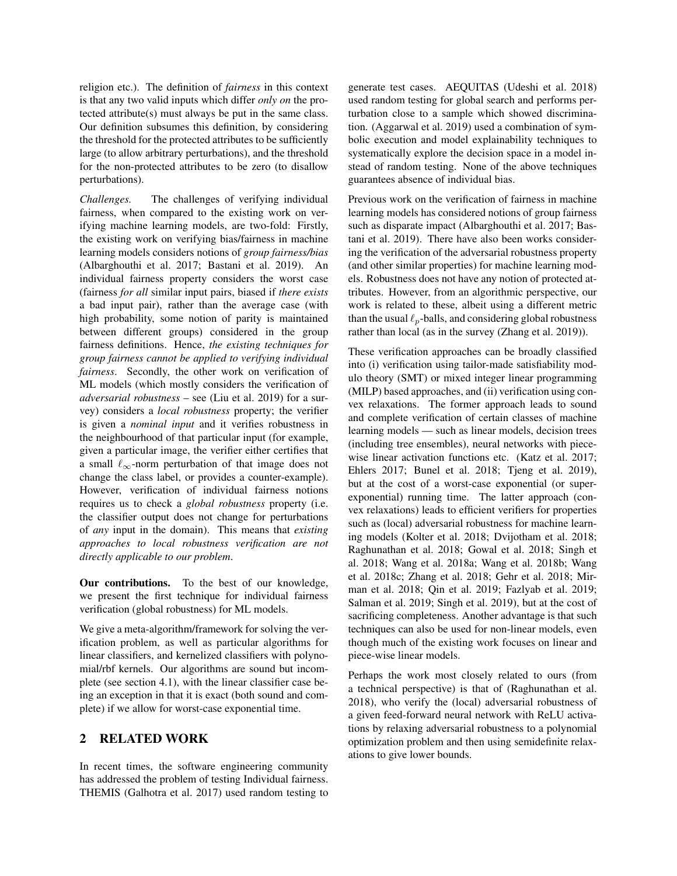religion etc.). The definition of *fairness* in this context is that any two valid inputs which differ *only on* the protected attribute(s) must always be put in the same class. Our definition subsumes this definition, by considering the threshold for the protected attributes to be sufficiently large (to allow arbitrary perturbations), and the threshold for the non-protected attributes to be zero (to disallow perturbations).

*Challenges.* The challenges of verifying individual fairness, when compared to the existing work on verifying machine learning models, are two-fold: Firstly, the existing work on verifying bias/fairness in machine learning models considers notions of *group fairness/bias* (Albarghouthi et al. 2017; Bastani et al. 2019). An individual fairness property considers the worst case (fairness *for all* similar input pairs, biased if *there exists* a bad input pair), rather than the average case (with high probability, some notion of parity is maintained between different groups) considered in the group fairness definitions. Hence, *the existing techniques for group fairness cannot be applied to verifying individual fairness*. Secondly, the other work on verification of ML models (which mostly considers the verification of *adversarial robustness* – see (Liu et al. 2019) for a survey) considers a *local robustness* property; the verifier is given a *nominal input* and it verifies robustness in the neighbourhood of that particular input (for example, given a particular image, the verifier either certifies that a small  $\ell_{\infty}$ -norm perturbation of that image does not change the class label, or provides a counter-example). However, verification of individual fairness notions requires us to check a *global robustness* property (i.e. the classifier output does not change for perturbations of *any* input in the domain). This means that *existing approaches to local robustness verification are not directly applicable to our problem*.

Our contributions. To the best of our knowledge, we present the first technique for individual fairness verification (global robustness) for ML models.

We give a meta-algorithm/framework for solving the verification problem, as well as particular algorithms for linear classifiers, and kernelized classifiers with polynomial/rbf kernels. Our algorithms are sound but incomplete (see section 4.1), with the linear classifier case being an exception in that it is exact (both sound and complete) if we allow for worst-case exponential time.

# 2 RELATED WORK

In recent times, the software engineering community has addressed the problem of testing Individual fairness. THEMIS (Galhotra et al. 2017) used random testing to generate test cases. AEQUITAS (Udeshi et al. 2018) used random testing for global search and performs perturbation close to a sample which showed discrimination. (Aggarwal et al. 2019) used a combination of symbolic execution and model explainability techniques to systematically explore the decision space in a model instead of random testing. None of the above techniques guarantees absence of individual bias.

Previous work on the verification of fairness in machine learning models has considered notions of group fairness such as disparate impact (Albarghouthi et al. 2017; Bastani et al. 2019). There have also been works considering the verification of the adversarial robustness property (and other similar properties) for machine learning models. Robustness does not have any notion of protected attributes. However, from an algorithmic perspective, our work is related to these, albeit using a different metric than the usual  $\ell_p$ -balls, and considering global robustness rather than local (as in the survey (Zhang et al. 2019)).

These verification approaches can be broadly classified into (i) verification using tailor-made satisfiability modulo theory (SMT) or mixed integer linear programming (MILP) based approaches, and (ii) verification using convex relaxations. The former approach leads to sound and complete verification of certain classes of machine learning models — such as linear models, decision trees (including tree ensembles), neural networks with piecewise linear activation functions etc. (Katz et al. 2017; Ehlers 2017; Bunel et al. 2018; Tjeng et al. 2019), but at the cost of a worst-case exponential (or superexponential) running time. The latter approach (convex relaxations) leads to efficient verifiers for properties such as (local) adversarial robustness for machine learning models (Kolter et al. 2018; Dvijotham et al. 2018; Raghunathan et al. 2018; Gowal et al. 2018; Singh et al. 2018; Wang et al. 2018a; Wang et al. 2018b; Wang et al. 2018c; Zhang et al. 2018; Gehr et al. 2018; Mirman et al. 2018; Qin et al. 2019; Fazlyab et al. 2019; Salman et al. 2019; Singh et al. 2019), but at the cost of sacrificing completeness. Another advantage is that such techniques can also be used for non-linear models, even though much of the existing work focuses on linear and piece-wise linear models.

Perhaps the work most closely related to ours (from a technical perspective) is that of (Raghunathan et al. 2018), who verify the (local) adversarial robustness of a given feed-forward neural network with ReLU activations by relaxing adversarial robustness to a polynomial optimization problem and then using semidefinite relaxations to give lower bounds.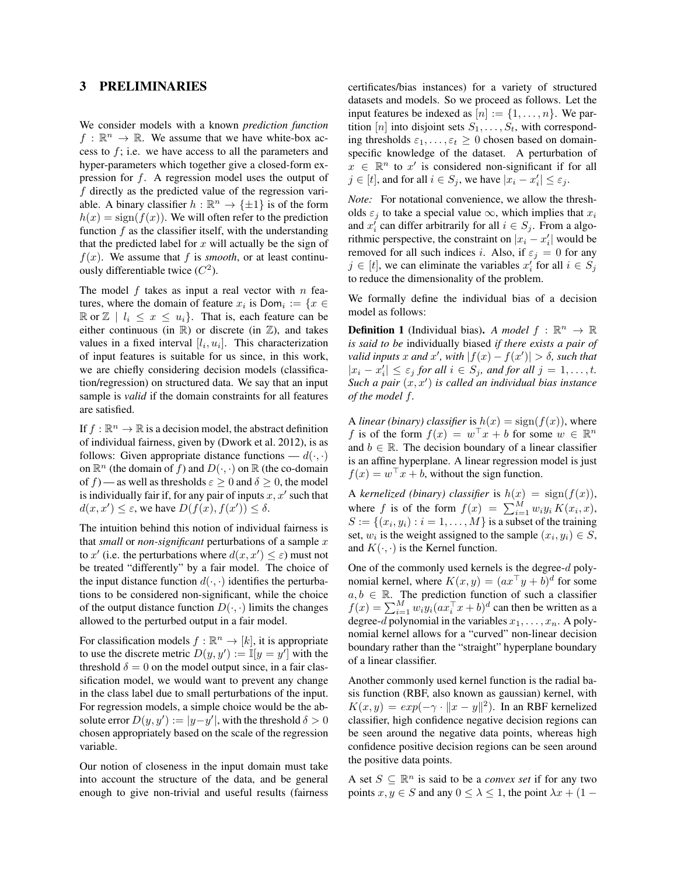### 3 PRELIMINARIES

We consider models with a known *prediction function*  $f: \mathbb{R}^n \to \mathbb{R}$ . We assume that we have white-box access to  $f$ ; i.e. we have access to all the parameters and hyper-parameters which together give a closed-form expression for f. A regression model uses the output of f directly as the predicted value of the regression variable. A binary classifier  $h : \mathbb{R}^n \to \{\pm 1\}$  is of the form  $h(x) = sign(f(x))$ . We will often refer to the prediction function  $f$  as the classifier itself, with the understanding that the predicted label for  $x$  will actually be the sign of  $f(x)$ . We assume that f is *smooth*, or at least continuously differentiable twice  $(C^2)$ .

The model  $f$  takes as input a real vector with  $n$  features, where the domain of feature  $x_i$  is  $Dom_i := \{x \in$  $\mathbb{R}$  or  $\mathbb{Z}$  |  $l_i \leq x \leq u_i$  }. That is, each feature can be either continuous (in  $\mathbb{R}$ ) or discrete (in  $\mathbb{Z}$ ), and takes values in a fixed interval  $[l_i, u_i]$ . This characterization of input features is suitable for us since, in this work, we are chiefly considering decision models (classification/regression) on structured data. We say that an input sample is *valid* if the domain constraints for all features are satisfied.

If  $f : \mathbb{R}^n \to \mathbb{R}$  is a decision model, the abstract definition of individual fairness, given by (Dwork et al. 2012), is as follows: Given appropriate distance functions —  $d(\cdot, \cdot)$ on  $\mathbb{R}^n$  (the domain of f) and  $D(\cdot, \cdot)$  on  $\mathbb R$  (the co-domain of f) — as well as thresholds  $\varepsilon > 0$  and  $\delta > 0$ , the model is individually fair if, for any pair of inputs  $x, x'$  such that  $d(x, x') \leq \varepsilon$ , we have  $D(f(x), f(x')) \leq \delta$ .

The intuition behind this notion of individual fairness is that *small* or *non-significant* perturbations of a sample x to x' (i.e. the perturbations where  $d(x, x') \leq \varepsilon$ ) must not be treated "differently" by a fair model. The choice of the input distance function  $d(\cdot, \cdot)$  identifies the perturbations to be considered non-significant, while the choice of the output distance function  $D(\cdot, \cdot)$  limits the changes allowed to the perturbed output in a fair model.

For classification models  $f : \mathbb{R}^n \to [k]$ , it is appropriate to use the discrete metric  $D(y, y') := \mathbb{I}[y = y']$  with the threshold  $\delta = 0$  on the model output since, in a fair classification model, we would want to prevent any change in the class label due to small perturbations of the input. For regression models, a simple choice would be the absolute error  $D(y, y') := |y-y'|$ , with the threshold  $\delta > 0$ chosen appropriately based on the scale of the regression variable.

Our notion of closeness in the input domain must take into account the structure of the data, and be general enough to give non-trivial and useful results (fairness certificates/bias instances) for a variety of structured datasets and models. So we proceed as follows. Let the input features be indexed as  $[n] := \{1, \ldots, n\}$ . We partition [n] into disjoint sets  $S_1, \ldots, S_t$ , with corresponding thresholds  $\varepsilon_1, \ldots, \varepsilon_t \geq 0$  chosen based on domainspecific knowledge of the dataset. A perturbation of  $x \in \mathbb{R}^n$  to  $x'$  is considered non-significant if for all  $j \in [t]$ , and for all  $i \in S_j$ , we have  $|x_i - x'_i| \leq \varepsilon_j$ .

*Note:* For notational convenience, we allow the thresholds  $\varepsilon_j$  to take a special value  $\infty$ , which implies that  $x_i$ and  $x_i'$  can differ arbitrarily for all  $i \in S_j$ . From a algorithmic perspective, the constraint on  $|x_i - x'_i|$  would be removed for all such indices i. Also, if  $\varepsilon_j = 0$  for any  $j \in [t]$ , we can eliminate the variables  $x'_i$  for all  $i \in S_j$ to reduce the dimensionality of the problem.

We formally define the individual bias of a decision model as follows:

**Definition 1** (Individual bias). *A model*  $f : \mathbb{R}^n \to \mathbb{R}$ *is said to be* individually biased *if there exists a pair of valid inputs* x and x', with  $|f(x) - f(x')| > \delta$ , such that  $|x_i - x'_i| \leq \varepsilon_j$  *for all*  $i \in S_j$ *, and for all*  $j = 1, \ldots, t$ *.* Such a pair  $(x, x')$  is called an individual bias instance *of the model* f*.*

A *linear (binary) classifier* is  $h(x) = sign(f(x))$ , where f is of the form  $f(x) = w^{\top}x + b$  for some  $w \in \mathbb{R}^n$ and  $b \in \mathbb{R}$ . The decision boundary of a linear classifier is an affine hyperplane. A linear regression model is just  $f(x) = w^{\top}x + b$ , without the sign function.

A *kernelized (binary) classifier* is  $h(x) = sign(f(x)),$ where f is of the form  $f(x) = \sum_{i=1}^{M} w_i y_i K(x_i, x)$ ,  $S := \{(x_i, y_i) : i = 1, \dots, M\}$  is a subset of the training set,  $w_i$  is the weight assigned to the sample  $(x_i, y_i) \in S$ , and  $K(\cdot, \cdot)$  is the Kernel function.

One of the commonly used kernels is the degree-d polynomial kernel, where  $K(x, y) = (ax^{\top}y + b)^d$  for some  $a, b \in \mathbb{R}$ . The prediction function of such a classifier  $f(x) = \sum_{i=1}^{M} w_i y_i (ax_i^{\top} x + b)^d$  can then be written as a degree-d polynomial in the variables  $x_1, \ldots, x_n$ . A polynomial kernel allows for a "curved" non-linear decision boundary rather than the "straight" hyperplane boundary of a linear classifier.

Another commonly used kernel function is the radial basis function (RBF, also known as gaussian) kernel, with  $K(x, y) = exp(-\gamma \cdot ||x - y||^2)$ . In an RBF kernelized classifier, high confidence negative decision regions can be seen around the negative data points, whereas high confidence positive decision regions can be seen around the positive data points.

A set  $S \subseteq \mathbb{R}^n$  is said to be a *convex set* if for any two points  $x, y \in S$  and any  $0 \leq \lambda \leq 1$ , the point  $\lambda x + (1 -$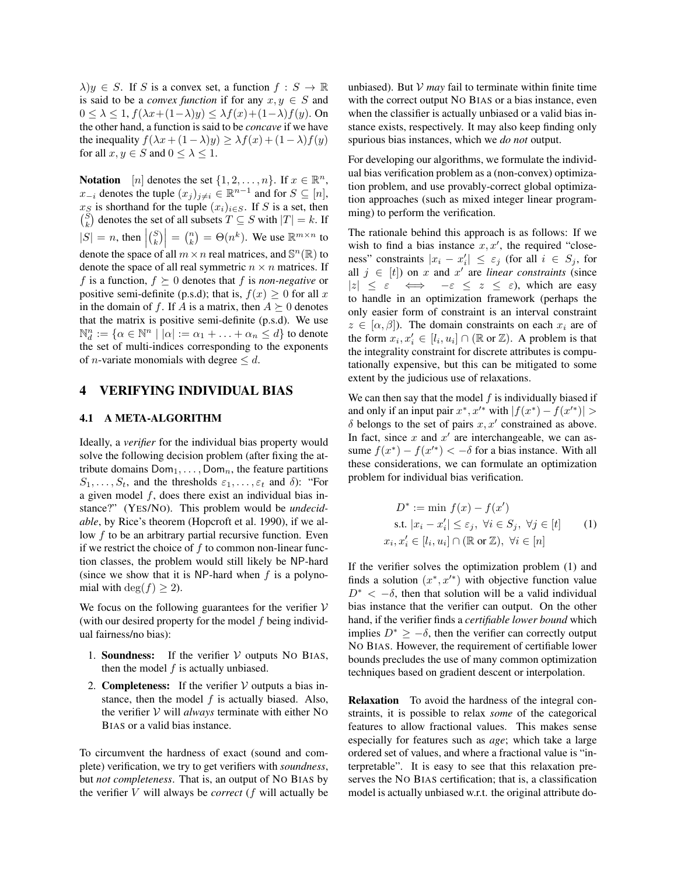$\lambda$ )y  $\in S$ . If S is a convex set, a function  $f : S \to \mathbb{R}$ is said to be a *convex function* if for any  $x, y \in S$  and  $0 \leq \lambda \leq 1$ ,  $f(\lambda x + (1-\lambda)y) \leq \lambda f(x) + (1-\lambda)f(y)$ . On the other hand, a function is said to be *concave* if we have the inequality  $f(\lambda x + (1 - \lambda)y) \geq \lambda f(x) + (1 - \lambda)f(y)$ for all  $x, y \in S$  and  $0 \leq \lambda \leq 1$ .

**Notation** [*n*] denotes the set  $\{1, 2, ..., n\}$ . If  $x \in \mathbb{R}^n$ ,  $x_{-i}$  denotes the tuple  $(x_j)_{j\neq i} \in \mathbb{R}^{n-1}$  and for  $S \subseteq [n]$ ,  $x_S$  is shorthand for the tuple  $(x_i)_{i \in S}$ . If S is a set, then  $\binom{S}{k}$  denotes the set of all subsets  $T \subseteq S$  with  $|T| = k$ . If  $|S| = n$ , then  $|S|$  $\begin{pmatrix} S \\ k \end{pmatrix} = \begin{pmatrix} n \\ k \end{pmatrix} = \Theta(n^k)$ . We use  $\mathbb{R}^{m \times n}$  to denote the space of all  $m \times n$  real matrices, and  $\mathbb{S}^n(\mathbb{R})$  to denote the space of all real symmetric  $n \times n$  matrices. If f is a function,  $f \succeq 0$  denotes that f is *non-negative* or positive semi-definite (p.s.d); that is,  $f(x) \geq 0$  for all x in the domain of f. If A is a matrix, then  $A \succeq 0$  denotes that the matrix is positive semi-definite (p.s.d). We use  $\mathbb{N}_d^n := \{ \alpha \in \mathbb{N}^n \mid |\alpha| := \alpha_1 + \ldots + \alpha_n \leq d \}$  to denote the set of multi-indices corresponding to the exponents of *n*-variate monomials with degree  $\leq d$ .

### 4 VERIFYING INDIVIDUAL BIAS

### 4.1 A META-ALGORITHM

Ideally, a *verifier* for the individual bias property would solve the following decision problem (after fixing the attribute domains  $Dom_1, \ldots, Dom_n$ , the feature partitions  $S_1, \ldots, S_t$ , and the thresholds  $\varepsilon_1, \ldots, \varepsilon_t$  and  $\delta$ ): "For a given model  $f$ , does there exist an individual bias instance?" (YES/NO). This problem would be *undecidable*, by Rice's theorem (Hopcroft et al. 1990), if we allow  $f$  to be an arbitrary partial recursive function. Even if we restrict the choice of  $f$  to common non-linear function classes, the problem would still likely be NP-hard (since we show that it is NP-hard when  $f$  is a polynomial with deg( $f$ )  $\geq$  2).

We focus on the following guarantees for the verifier  $V$ (with our desired property for the model  $f$  being individual fairness/no bias):

- 1. **Soundness:** If the verifier  $V$  outputs NO BIAS, then the model  $f$  is actually unbiased.
- 2. **Completeness:** If the verifier  $V$  outputs a bias instance, then the model  $f$  is actually biased. Also, the verifier V will *always* terminate with either NO BIAS or a valid bias instance.

To circumvent the hardness of exact (sound and complete) verification, we try to get verifiers with *soundness*, but *not completeness*. That is, an output of NO BIAS by the verifier V will always be *correct* (f will actually be unbiased). But  $V$  *may* fail to terminate within finite time with the correct output NO BIAS or a bias instance, even when the classifier is actually unbiased or a valid bias instance exists, respectively. It may also keep finding only spurious bias instances, which we *do not* output.

For developing our algorithms, we formulate the individual bias verification problem as a (non-convex) optimization problem, and use provably-correct global optimization approaches (such as mixed integer linear programming) to perform the verification.

The rationale behind this approach is as follows: If we wish to find a bias instance  $x, x'$ , the required "closeness" constraints  $|x_i - x'_i| \leq \varepsilon_j$  (for all  $i \in S_j$ , for all  $j \in [t]$ ) on x and x' are *linear constraints* (since  $|z| \leq \varepsilon \iff -\varepsilon \leq z \leq \varepsilon$ , which are easy to handle in an optimization framework (perhaps the only easier form of constraint is an interval constraint  $z \in [\alpha, \beta]$ ). The domain constraints on each  $x_i$  are of the form  $x_i, x'_i \in [l_i, u_i] \cap (\mathbb{R} \text{ or } \mathbb{Z})$ . A problem is that the integrality constraint for discrete attributes is computationally expensive, but this can be mitigated to some extent by the judicious use of relaxations.

We can then say that the model  $f$  is individually biased if and only if an input pair  $x^*$ ,  $x'^*$  with  $|f(x^*) - f(x'^*)|$  $\delta$  belongs to the set of pairs  $x, x'$  constrained as above. In fact, since  $x$  and  $x'$  are interchangeable, we can assume  $f(x^*) - f(x'^*) < -\delta$  for a bias instance. With all these considerations, we can formulate an optimization problem for individual bias verification.

$$
D^* := \min f(x) - f(x')
$$
  
s.t.  $|x_i - x'_i| \le \varepsilon_j, \forall i \in S_j, \forall j \in [t]$   
 $x_i, x'_i \in [l_i, u_i] \cap (\mathbb{R} \text{ or } \mathbb{Z}), \forall i \in [n]$  (1)

If the verifier solves the optimization problem (1) and finds a solution  $(x^*, x'^*)$  with objective function value  $D^* < -\delta$ , then that solution will be a valid individual bias instance that the verifier can output. On the other hand, if the verifier finds a *certifiable lower bound* which implies  $D^* \ge -\delta$ , then the verifier can correctly output NO BIAS. However, the requirement of certifiable lower bounds precludes the use of many common optimization techniques based on gradient descent or interpolation.

Relaxation To avoid the hardness of the integral constraints, it is possible to relax *some* of the categorical features to allow fractional values. This makes sense especially for features such as *age*; which take a large ordered set of values, and where a fractional value is "interpretable". It is easy to see that this relaxation preserves the NO BIAS certification; that is, a classification model is actually unbiased w.r.t. the original attribute do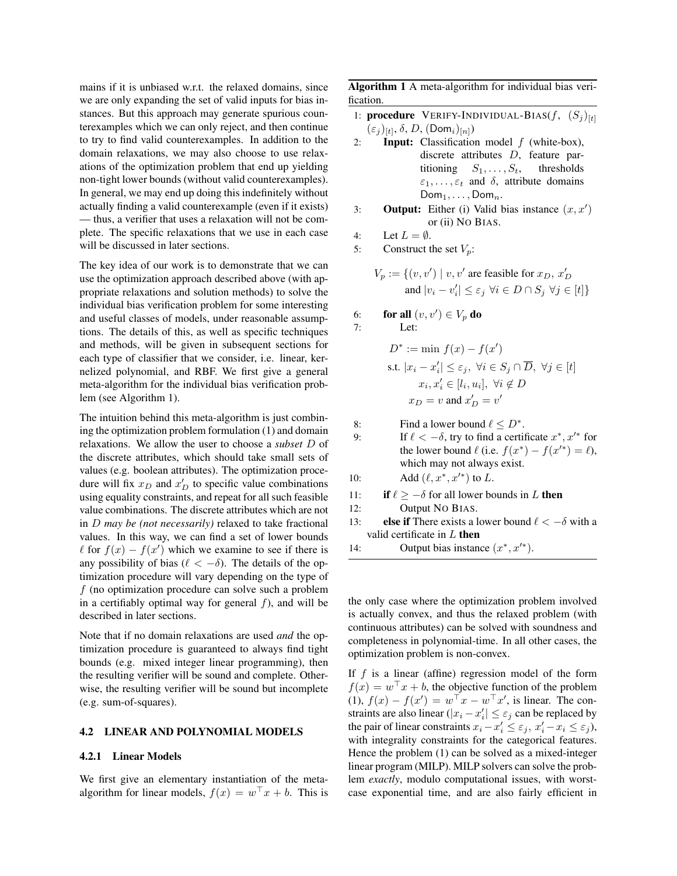mains if it is unbiased w.r.t. the relaxed domains, since we are only expanding the set of valid inputs for bias instances. But this approach may generate spurious counterexamples which we can only reject, and then continue to try to find valid counterexamples. In addition to the domain relaxations, we may also choose to use relaxations of the optimization problem that end up yielding non-tight lower bounds (without valid counterexamples). In general, we may end up doing this indefinitely without actually finding a valid counterexample (even if it exists) — thus, a verifier that uses a relaxation will not be complete. The specific relaxations that we use in each case will be discussed in later sections.

The key idea of our work is to demonstrate that we can use the optimization approach described above (with appropriate relaxations and solution methods) to solve the individual bias verification problem for some interesting and useful classes of models, under reasonable assumptions. The details of this, as well as specific techniques and methods, will be given in subsequent sections for each type of classifier that we consider, i.e. linear, kernelized polynomial, and RBF. We first give a general meta-algorithm for the individual bias verification problem (see Algorithm 1).

The intuition behind this meta-algorithm is just combining the optimization problem formulation (1) and domain relaxations. We allow the user to choose a *subset* D of the discrete attributes, which should take small sets of values (e.g. boolean attributes). The optimization procedure will fix  $x_D$  and  $x'_D$  to specific value combinations using equality constraints, and repeat for all such feasible value combinations. The discrete attributes which are not in D *may be (not necessarily)* relaxed to take fractional values. In this way, we can find a set of lower bounds  $\ell$  for  $f(x) - f(x')$  which we examine to see if there is any possibility of bias ( $\ell < -\delta$ ). The details of the optimization procedure will vary depending on the type of  $f$  (no optimization procedure can solve such a problem in a certifiably optimal way for general  $f$ ), and will be described in later sections.

Note that if no domain relaxations are used *and* the optimization procedure is guaranteed to always find tight bounds (e.g. mixed integer linear programming), then the resulting verifier will be sound and complete. Otherwise, the resulting verifier will be sound but incomplete (e.g. sum-of-squares).

#### 4.2 LINEAR AND POLYNOMIAL MODELS

#### 4.2.1 Linear Models

We first give an elementary instantiation of the metaalgorithm for linear models,  $f(x) = w^{\top}x + b$ . This is

Algorithm 1 A meta-algorithm for individual bias verification.

- 1: procedure VERIFY-INDIVIDUAL-BIAS $(f, (S_i)_{[t]})$  $(\varepsilon_j)_{[t]}, \delta, D, (\mathsf{Dom}_i)_{[n]})$
- 2: **Input:** Classification model  $f$  (white-box), discrete attributes D, feature partitioning  $S_1, \ldots, S_t$ , thresholds  $\varepsilon_1, \ldots, \varepsilon_t$  and  $\delta$ , attribute domains  $\mathsf{Dom}_1, \ldots, \mathsf{Dom}_n.$
- 3: **Output:** Either (i) Valid bias instance  $(x, x')$ or (ii) NO BIAS.

4: Let 
$$
L = \emptyset
$$
.

5: Construct the set  $V_p$ :

$$
V_p := \{ (v, v') \mid v, v' \text{ are feasible for } x_D, x'_D
$$
  
and  $|v_i - v'_i| \le \varepsilon_j \ \forall i \in D \cap S_j \ \forall j \in [t] \}$ 

6: **for all** 
$$
(v, v') \in V_p
$$
 **do**

7: Let:

$$
D^* := \min f(x) - f(x')
$$
  
s.t.  $|x_i - x'_i| \le \varepsilon_j$ ,  $\forall i \in S_j \cap \overline{D}$ ,  $\forall j \in [t]$   
 $x_i, x'_i \in [l_i, u_i]$ ,  $\forall i \notin D$   
 $x_D = v$  and  $x'_D = v'$ 

8: Find a lower bound  $\ell \leq D^*$ . 9: If  $\ell < -\delta$ , try to find a certificate  $x^*, x'^*$  for the lower bound  $\ell$  (i.e.  $f(x^*) - f(x'^*) = \ell$ ), which may not always exist. 10: Add  $(\ell, x^*, x'^*)$  to L. 11: **if**  $\ell \ge -\delta$  for all lower bounds in L then 12: Output NO BIAS. 13: **else if** There exists a lower bound  $\ell < -\delta$  with a valid certificate in  $L$  then

14: Output bias instance  $(x^*, x'^*)$ .

the only case where the optimization problem involved is actually convex, and thus the relaxed problem (with continuous attributes) can be solved with soundness and completeness in polynomial-time. In all other cases, the optimization problem is non-convex.

If  $f$  is a linear (affine) regression model of the form  $f(x) = w^{\top}x + b$ , the objective function of the problem (1),  $f(x) - f(x') = w^{\top}x - w^{\top}x'$ , is linear. The constraints are also linear ( $|x_i - x'_i| \leq \varepsilon_j$  can be replaced by the pair of linear constraints  $x_i - x_i' \le \varepsilon_j$ ,  $x_i' - x_i \le \varepsilon_j$ ), with integrality constraints for the categorical features. Hence the problem (1) can be solved as a mixed-integer linear program (MILP). MILP solvers can solve the problem *exactly*, modulo computational issues, with worstcase exponential time, and are also fairly efficient in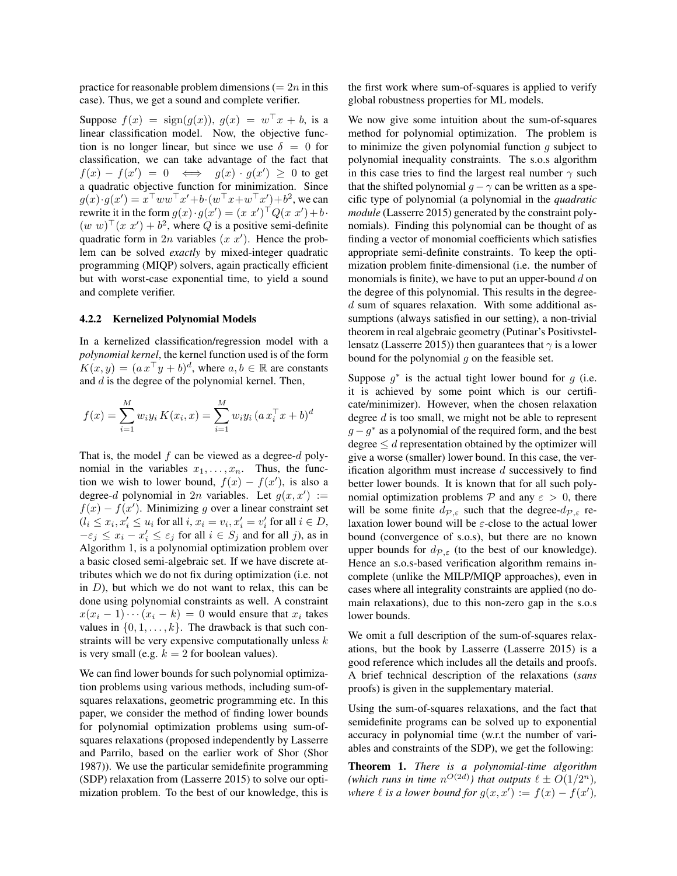practice for reasonable problem dimensions  $(= 2n$  in this case). Thus, we get a sound and complete verifier.

Suppose  $f(x) = \text{sign}(g(x))$ ,  $g(x) = w^{\top}x + b$ , is a linear classification model. Now, the objective function is no longer linear, but since we use  $\delta = 0$  for classification, we can take advantage of the fact that  $f(x) - f(x') = 0 \iff g(x) \cdot g(x') \geq 0$  to get a quadratic objective function for minimization. Since  $g(x) \cdot g(x') = x^{\top} w w^{\top} x' + b \cdot (w^{\top} x + w^{\top} x') + b^2$ , we can rewrite it in the form  $g(x) \cdot g(x') = (x \ x')^\top Q(x \ x') + b \cdot$  $(w w)^{\top} (x x') + b^2$ , where Q is a positive semi-definite quadratic form in  $2n$  variables  $(x x')$ . Hence the problem can be solved *exactly* by mixed-integer quadratic programming (MIQP) solvers, again practically efficient but with worst-case exponential time, to yield a sound and complete verifier.

#### 4.2.2 Kernelized Polynomial Models

In a kernelized classification/regression model with a *polynomial kernel*, the kernel function used is of the form  $K(x, y) = (a x^{\top} y + b)^d$ , where  $a, b \in \mathbb{R}$  are constants and  $d$  is the degree of the polynomial kernel. Then,

$$
f(x) = \sum_{i=1}^{M} w_i y_i K(x_i, x) = \sum_{i=1}^{M} w_i y_i (a x_i^{\top} x + b)^d
$$

That is, the model  $f$  can be viewed as a degree- $d$  polynomial in the variables  $x_1, \ldots, x_n$ . Thus, the function we wish to lower bound,  $f(x) - f(x')$ , is also a degree-d polynomial in  $2n$  variables. Let  $g(x, x') :=$  $f(x) - f(x')$ . Minimizing g over a linear constraint set  $(l_i \leq x_i, x'_i \leq u_i \text{ for all } i, x_i = v_i, x'_i = v'_i \text{ for all } i \in D,$  $-\varepsilon_j \leq x_i - x'_i \leq \varepsilon_j$  for all  $i \in S_j$  and for all j), as in Algorithm 1, is a polynomial optimization problem over a basic closed semi-algebraic set. If we have discrete attributes which we do not fix during optimization (i.e. not in  $D$ ), but which we do not want to relax, this can be done using polynomial constraints as well. A constraint  $x(x_i-1)\cdots(x_i-k)=0$  would ensure that  $x_i$  takes values in  $\{0, 1, \ldots, k\}$ . The drawback is that such constraints will be very expensive computationally unless  $k$ is very small (e.g.  $k = 2$  for boolean values).

We can find lower bounds for such polynomial optimization problems using various methods, including sum-ofsquares relaxations, geometric programming etc. In this paper, we consider the method of finding lower bounds for polynomial optimization problems using sum-ofsquares relaxations (proposed independently by Lasserre and Parrilo, based on the earlier work of Shor (Shor 1987)). We use the particular semidefinite programming (SDP) relaxation from (Lasserre 2015) to solve our optimization problem. To the best of our knowledge, this is the first work where sum-of-squares is applied to verify global robustness properties for ML models.

We now give some intuition about the sum-of-squares method for polynomial optimization. The problem is to minimize the given polynomial function  $g$  subject to polynomial inequality constraints. The s.o.s algorithm in this case tries to find the largest real number  $\gamma$  such that the shifted polynomial  $g - \gamma$  can be written as a specific type of polynomial (a polynomial in the *quadratic module* (Lasserre 2015) generated by the constraint polynomials). Finding this polynomial can be thought of as finding a vector of monomial coefficients which satisfies appropriate semi-definite constraints. To keep the optimization problem finite-dimensional (i.e. the number of monomials is finite), we have to put an upper-bound  $d$  on the degree of this polynomial. This results in the degreed sum of squares relaxation. With some additional assumptions (always satisfied in our setting), a non-trivial theorem in real algebraic geometry (Putinar's Positivstellensatz (Lasserre 2015)) then guarantees that  $\gamma$  is a lower bound for the polynomial  $g$  on the feasible set.

Suppose  $g^*$  is the actual tight lower bound for  $g$  (i.e. it is achieved by some point which is our certificate/minimizer). However, when the chosen relaxation degree  $d$  is too small, we might not be able to represent  $g - g^*$  as a polynomial of the required form, and the best degree  $\leq d$  representation obtained by the optimizer will give a worse (smaller) lower bound. In this case, the verification algorithm must increase  $d$  successively to find better lower bounds. It is known that for all such polynomial optimization problems  $P$  and any  $\varepsilon > 0$ , there will be some finite  $d_{\mathcal{P}_{\mathcal{E}}}$  such that the degree- $d_{\mathcal{P}_{\mathcal{E}}}$  relaxation lower bound will be  $\varepsilon$ -close to the actual lower bound (convergence of s.o.s), but there are no known upper bounds for  $d_{\mathcal{P},\varepsilon}$  (to the best of our knowledge). Hence an s.o.s-based verification algorithm remains incomplete (unlike the MILP/MIQP approaches), even in cases where all integrality constraints are applied (no domain relaxations), due to this non-zero gap in the s.o.s lower bounds.

We omit a full description of the sum-of-squares relaxations, but the book by Lasserre (Lasserre 2015) is a good reference which includes all the details and proofs. A brief technical description of the relaxations (*sans* proofs) is given in the supplementary material.

Using the sum-of-squares relaxations, and the fact that semidefinite programs can be solved up to exponential accuracy in polynomial time (w.r.t the number of variables and constraints of the SDP), we get the following:

Theorem 1. *There is a polynomial-time algorithm* (which runs in time  $n^{O(2d)}$ ) that outputs  $\ell \pm O(1/2^n)$ , *where*  $\ell$  *is a lower bound for*  $g(x, x') := f(x) - f(x')$ ,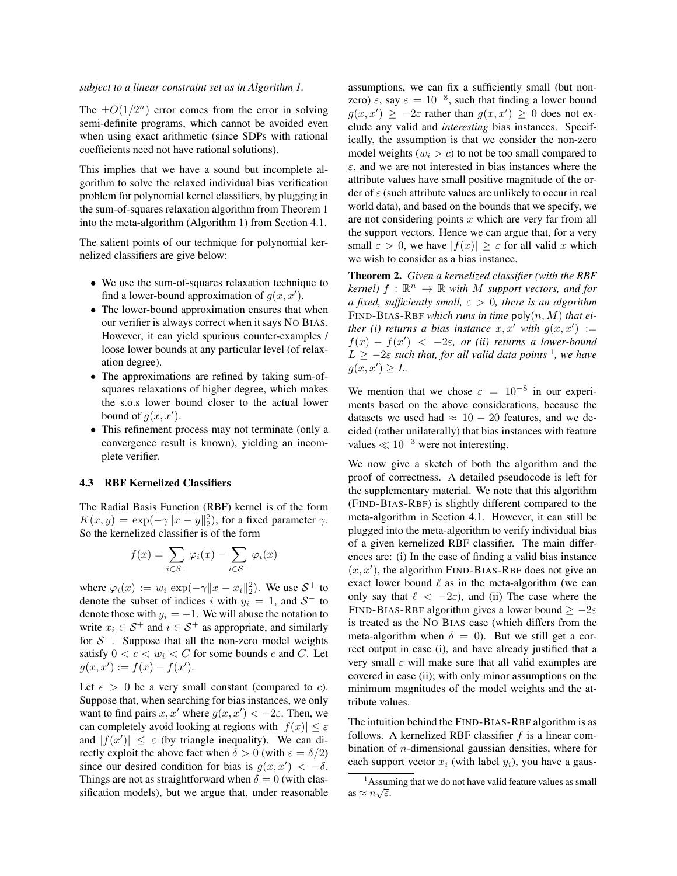#### *subject to a linear constraint set as in Algorithm 1.*

The  $\pm O(1/2^n)$  error comes from the error in solving semi-definite programs, which cannot be avoided even when using exact arithmetic (since SDPs with rational coefficients need not have rational solutions).

This implies that we have a sound but incomplete algorithm to solve the relaxed individual bias verification problem for polynomial kernel classifiers, by plugging in the sum-of-squares relaxation algorithm from Theorem 1 into the meta-algorithm (Algorithm 1) from Section 4.1.

The salient points of our technique for polynomial kernelized classifiers are give below:

- We use the sum-of-squares relaxation technique to find a lower-bound approximation of  $g(x, x')$ .
- The lower-bound approximation ensures that when our verifier is always correct when it says NO BIAS. However, it can yield spurious counter-examples / loose lower bounds at any particular level (of relaxation degree).
- The approximations are refined by taking sum-ofsquares relaxations of higher degree, which makes the s.o.s lower bound closer to the actual lower bound of  $g(x, x')$ .
- This refinement process may not terminate (only a convergence result is known), yielding an incomplete verifier.

### 4.3 RBF Kernelized Classifiers

The Radial Basis Function (RBF) kernel is of the form  $K(x, y) = \exp(-\gamma ||x - y||_2^2)$ , for a fixed parameter  $\gamma$ . So the kernelized classifier is of the form

$$
f(x) = \sum_{i \in S^{+}} \varphi_{i}(x) - \sum_{i \in S^{-}} \varphi_{i}(x)
$$

where  $\varphi_i(x) := w_i \exp(-\gamma ||x - x_i||_2^2)$ . We use  $S^+$  to denote the subset of indices i with  $y_i = 1$ , and  $S^-$  to denote those with  $y_i = -1$ . We will abuse the notation to write  $x_i \in S^+$  and  $i \in S^+$  as appropriate, and similarly for  $S^-$ . Suppose that all the non-zero model weights satisfy  $0 < c < w_i < C$  for some bounds c and C. Let  $g(x, x') := f(x) - f(x').$ 

Let  $\epsilon > 0$  be a very small constant (compared to *c*). Suppose that, when searching for bias instances, we only want to find pairs x, x' where  $g(x, x') < -2\varepsilon$ . Then, we can completely avoid looking at regions with  $|f(x)| < \varepsilon$ and  $|f(x')| \leq \varepsilon$  (by triangle inequality). We can directly exploit the above fact when  $\delta > 0$  (with  $\varepsilon = \delta/2$ ) since our desired condition for bias is  $g(x, x') < -\delta$ . Things are not as straightforward when  $\delta = 0$  (with classification models), but we argue that, under reasonable assumptions, we can fix a sufficiently small (but nonzero)  $\varepsilon$ , say  $\varepsilon = 10^{-8}$ , such that finding a lower bound  $g(x, x') \ge -2\varepsilon$  rather than  $g(x, x') \ge 0$  does not exclude any valid and *interesting* bias instances. Specifically, the assumption is that we consider the non-zero model weights  $(w_i > c)$  to not be too small compared to  $\varepsilon$ , and we are not interested in bias instances where the attribute values have small positive magnitude of the order of  $\varepsilon$  (such attribute values are unlikely to occur in real world data), and based on the bounds that we specify, we are not considering points  $x$  which are very far from all the support vectors. Hence we can argue that, for a very small  $\varepsilon > 0$ , we have  $|f(x)| \ge \varepsilon$  for all valid x which we wish to consider as a bias instance.

Theorem 2. *Given a kernelized classifier (with the RBF*  $\mathit{kernel}$ )  $f : \mathbb{R}^n \to \mathbb{R}$  *with*  $M$  *support vectors, and for a fixed, sufficiently small,* ε > 0*, there is an algorithm* FIND-BIAS-RBF *which runs in time* poly(n, M) *that either (i) returns a bias instance*  $x, x'$  *with*  $g(x, x') :=$  $f(x) - f(x') < -2\varepsilon$ , or (ii) returns a lower-bound  $L \ge -2\varepsilon$  such that, for all valid data points <sup>1</sup>, we have  $g(x, x') \geq L$ .

We mention that we chose  $\varepsilon = 10^{-8}$  in our experiments based on the above considerations, because the datasets we used had  $\approx 10 - 20$  features, and we decided (rather unilaterally) that bias instances with feature values  $\ll 10^{-3}$  were not interesting.

We now give a sketch of both the algorithm and the proof of correctness. A detailed pseudocode is left for the supplementary material. We note that this algorithm (FIND-BIAS-RBF) is slightly different compared to the meta-algorithm in Section 4.1. However, it can still be plugged into the meta-algorithm to verify individual bias of a given kernelized RBF classifier. The main differences are: (i) In the case of finding a valid bias instance  $(x, x')$ , the algorithm FIND-BIAS-RBF does not give an exact lower bound  $\ell$  as in the meta-algorithm (we can only say that  $\ell < -2\varepsilon$ ), and (ii) The case where the FIND-BIAS-RBF algorithm gives a lower bound  $\ge -2\varepsilon$ is treated as the NO BIAS case (which differs from the meta-algorithm when  $\delta = 0$ ). But we still get a correct output in case (i), and have already justified that a very small  $\varepsilon$  will make sure that all valid examples are covered in case (ii); with only minor assumptions on the minimum magnitudes of the model weights and the attribute values.

The intuition behind the FIND-BIAS-RBF algorithm is as follows. A kernelized RBF classifier  $f$  is a linear combination of  $n$ -dimensional gaussian densities, where for each support vector  $x_i$  (with label  $y_i$ ), you have a gaus-

<sup>&</sup>lt;sup>1</sup> Assuming that we do not have valid feature values as small as  $\approx n\sqrt{\varepsilon}$ .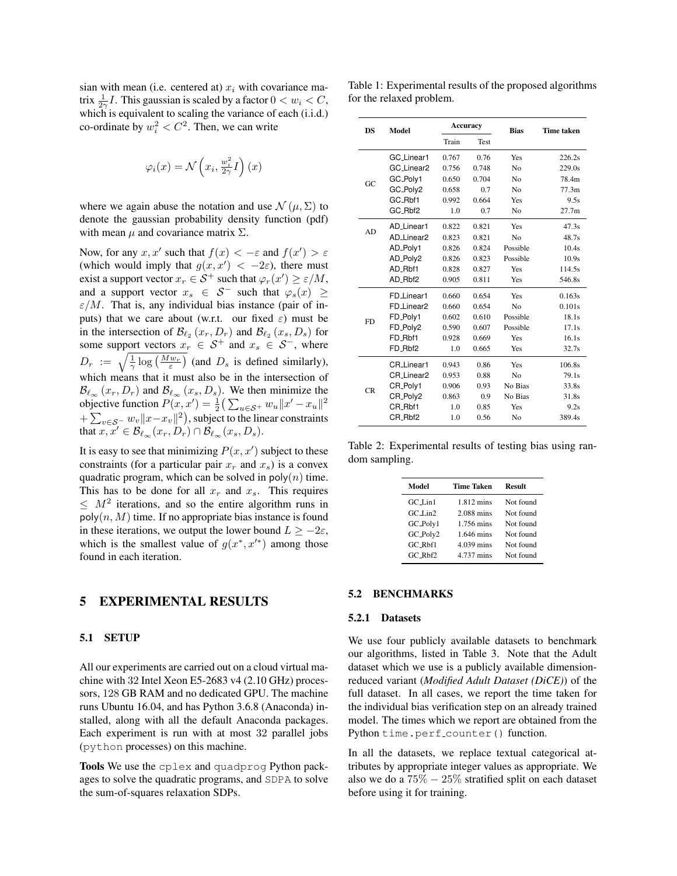sian with mean (i.e. centered at)  $x_i$  with covariance matrix  $\frac{1}{2\gamma}I$ . This gaussian is scaled by a factor  $0 < w_i < C$ , which is equivalent to scaling the variance of each (i.i.d.) co-ordinate by  $w_i^2 < C^2$ . Then, we can write

$$
\varphi_i(x) = \mathcal{N}\left(x_i, \frac{w_i^2}{2\gamma}I\right)(x)
$$

where we again abuse the notation and use  $\mathcal{N}(\mu, \Sigma)$  to denote the gaussian probability density function (pdf) with mean  $\mu$  and covariance matrix  $\Sigma$ .

Now, for any  $x, x'$  such that  $f(x) < -\varepsilon$  and  $f(x') > \varepsilon$ (which would imply that  $g(x, x') < -2\varepsilon$ ), there must exist a support vector  $x_r \in S^+$  such that  $\varphi_r(x') \ge \varepsilon/M$ , and a support vector  $x_s \in S^-$  such that  $\varphi_s(x) \geq$  $\varepsilon/M$ . That is, any individual bias instance (pair of inputs) that we care about (w.r.t. our fixed  $\varepsilon$ ) must be in the intersection of  $\mathcal{B}_{\ell_2}(x_r, D_r)$  and  $\mathcal{B}_{\ell_2}(x_s, D_s)$  for some support vectors  $x_r \in S^+$  and  $x_s \in S^-$ , where  $D_r := \sqrt{\frac{1}{\gamma} \log \left( \frac{Mw_r}{\varepsilon} \right)}$  (and  $D_s$  is defined similarly), which means that it must also be in the intersection of  $\mathcal{B}_{\ell_{\infty}}(x_r, D_r)$  and  $\mathcal{B}_{\ell_{\infty}}(x_s, D_s)$ . We then minimize the objective function  $P(x, x') = \frac{1}{2} \left( \sum_{u \in S^+} w_u ||x' - x_u||^2 \right)$  $+\sum_{v\in\mathcal{S}^-} w_v \|x-x_v\|^2$ ), subject to the linear constraints that  $x, x' \in \mathcal{B}_{\ell_{\infty}}(x_r, D_r) \cap \mathcal{B}_{\ell_{\infty}}(x_s, D_s).$ 

It is easy to see that minimizing  $P(x, x')$  subject to these constraints (for a particular pair  $x_r$  and  $x_s$ ) is a convex quadratic program, which can be solved in  $poly(n)$  time. This has to be done for all  $x_r$  and  $x_s$ . This requires  $\leq M^2$  iterations, and so the entire algorithm runs in  $poly(n, M)$  time. If no appropriate bias instance is found in these iterations, we output the lower bound  $L > -2\varepsilon$ , which is the smallest value of  $g(x^*, x'^*)$  among those found in each iteration.

### 5 EXPERIMENTAL RESULTS

#### 5.1 SETUP

All our experiments are carried out on a cloud virtual machine with 32 Intel Xeon E5-2683 v4 (2.10 GHz) processors, 128 GB RAM and no dedicated GPU. The machine runs Ubuntu 16.04, and has Python 3.6.8 (Anaconda) installed, along with all the default Anaconda packages. Each experiment is run with at most 32 parallel jobs (python processes) on this machine.

Tools We use the cplex and quadprog Python packages to solve the quadratic programs, and SDPA to solve the sum-of-squares relaxation SDPs.

Table 1: Experimental results of the proposed algorithms for the relaxed problem.

| DS  | Model                  | Accuracy |             | <b>Bias</b>    | <b>Time taken</b> |
|-----|------------------------|----------|-------------|----------------|-------------------|
|     |                        | Train    | <b>Test</b> |                |                   |
| GC. | GC Linear1             | 0.767    | 0.76        | Yes            | 226.2s            |
|     | GC_Linear2             | 0.756    | 0.748       | N <sub>0</sub> | 229.0s            |
|     | GC_Poly1               | 0.650    | 0.704       | N <sub>0</sub> | 78.4m             |
|     | GC_Poly2               | 0.658    | 0.7         | N <sub>0</sub> | 77.3m             |
|     | GC_Rbf1                | 0.992    | 0.664       | Yes            | 9.5s              |
|     | GC_Rbf2                | 1.0      | 0.7         | N <sub>0</sub> | 27.7 <sub>m</sub> |
| AD. | AD Linear1             | 0.822    | 0.821       | Yes            | 47.3s             |
|     | AD <sub>-Linear2</sub> | 0.823    | 0.821       | N <sub>0</sub> | 48.7s             |
|     | AD_Poly1               | 0.826    | 0.824       | Possible       | 10.4s             |
|     | AD_Poly2               | 0.826    | 0.823       | Possible       | 10.9s             |
|     | AD Rbf1                | 0.828    | 0.827       | Yes            | 114.5s            |
|     | AD_Rbf2                | 0.905    | 0.811       | Yes            | 546.8s            |
| FD  | FD <sub>-Linear1</sub> | 0.660    | 0.654       | Yes            | 0.163s            |
|     | FD Linear2             | 0.660    | 0.654       | N <sub>0</sub> | 0.101s            |
|     | FD <sub>-Polv1</sub>   | 0.602    | 0.610       | Possible       | 18.1s             |
|     | FD_Poly2               | 0.590    | 0.607       | Possible       | 17.1s             |
|     | FD_Rbf1                | 0.928    | 0.669       | Yes            | 16.1s             |
|     | FD_Rbf2                | 1.0      | 0.665       | Yes            | 32.7s             |
| CR  | CR Linear1             | 0.943    | 0.86        | Yes            | 106.8s            |
|     | CR Linear2             | 0.953    | 0.88        | N <sub>0</sub> | 79.1s             |
|     | CR_Poly1               | 0.906    | 0.93        | No Rias        | 33.8s             |
|     | CR_Poly2               | 0.863    | 0.9         | No Bias        | 31.8s             |
|     | CR_Rbf1                | 1.0      | 0.85        | Yes            | 9.2s              |
|     | CR_Rbf2                | 1.0      | 0.56        | N <sub>0</sub> | 389.4s            |

Table 2: Experimental results of testing bias using random sampling.

| Model                | <b>Time Taken</b> | Result    |
|----------------------|-------------------|-----------|
| $GC\_Lin1$           | 1.812 mins        | Not found |
| $GC$ Lin2            | 2.088 mins        | Not found |
| GC_Poly1             | 1.756 mins        | Not found |
| GC_Poly2             | 1.646 mins        | Not found |
| $GC$ <sub>Rbf1</sub> | 4.039 mins        | Not found |
| $GC$ Rb $f2$         | 4.737 mins        | Not found |

#### 5.2 BENCHMARKS

#### 5.2.1 Datasets

We use four publicly available datasets to benchmark our algorithms, listed in Table 3. Note that the Adult dataset which we use is a publicly available dimensionreduced variant (*Modified Adult Dataset (DiCE)*) of the full dataset. In all cases, we report the time taken for the individual bias verification step on an already trained model. The times which we report are obtained from the Python time.perf\_counter() function.

In all the datasets, we replace textual categorical attributes by appropriate integer values as appropriate. We also we do a  $75\% - 25\%$  stratified split on each dataset before using it for training.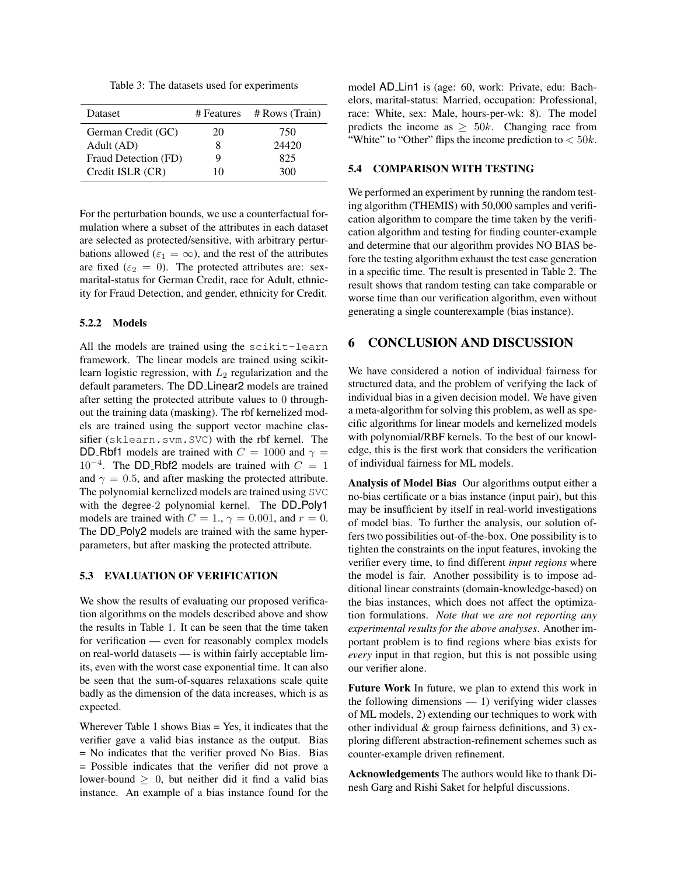Table 3: The datasets used for experiments

| <b>Dataset</b>       | # Features | # Rows (Train) |
|----------------------|------------|----------------|
| German Credit (GC)   | 20         | 750            |
| Adult (AD)           | 8          | 24420          |
| Fraud Detection (FD) | Q          | 825            |
| Credit ISLR (CR)     | 10         | 300            |

For the perturbation bounds, we use a counterfactual formulation where a subset of the attributes in each dataset are selected as protected/sensitive, with arbitrary perturbations allowed ( $\varepsilon_1 = \infty$ ), and the rest of the attributes are fixed ( $\varepsilon_2 = 0$ ). The protected attributes are: sexmarital-status for German Credit, race for Adult, ethnicity for Fraud Detection, and gender, ethnicity for Credit.

### 5.2.2 Models

All the models are trained using the scikit-learn framework. The linear models are trained using scikitlearn logistic regression, with  $L_2$  regularization and the default parameters. The DD Linear2 models are trained after setting the protected attribute values to 0 throughout the training data (masking). The rbf kernelized models are trained using the support vector machine classifier (sklearn.svm.SVC) with the rbf kernel. The DD Rbf1 models are trained with  $C = 1000$  and  $\gamma =$  $10^{-4}$ . The DD\_Rbf2 models are trained with  $C = 1$ and  $\gamma = 0.5$ , and after masking the protected attribute. The polynomial kernelized models are trained using SVC with the degree-2 polynomial kernel. The DD\_Poly1 models are trained with  $C = 1$ .,  $\gamma = 0.001$ , and  $r = 0$ . The DD<sub>-Poly2</sub> models are trained with the same hyperparameters, but after masking the protected attribute.

### 5.3 EVALUATION OF VERIFICATION

We show the results of evaluating our proposed verification algorithms on the models described above and show the results in Table 1. It can be seen that the time taken for verification — even for reasonably complex models on real-world datasets — is within fairly acceptable limits, even with the worst case exponential time. It can also be seen that the sum-of-squares relaxations scale quite badly as the dimension of the data increases, which is as expected.

Wherever Table 1 shows  $Bias = Yes$ , it indicates that the verifier gave a valid bias instance as the output. Bias = No indicates that the verifier proved No Bias. Bias = Possible indicates that the verifier did not prove a lower-bound  $> 0$ , but neither did it find a valid bias instance. An example of a bias instance found for the model AD Lin1 is (age: 60, work: Private, edu: Bachelors, marital-status: Married, occupation: Professional, race: White, sex: Male, hours-per-wk: 8). The model predicts the income as  $\geq 50k$ . Changing race from "White" to "Other" flips the income prediction to  $< 50k$ .

### 5.4 COMPARISON WITH TESTING

We performed an experiment by running the random testing algorithm (THEMIS) with 50,000 samples and verification algorithm to compare the time taken by the verification algorithm and testing for finding counter-example and determine that our algorithm provides NO BIAS before the testing algorithm exhaust the test case generation in a specific time. The result is presented in Table 2. The result shows that random testing can take comparable or worse time than our verification algorithm, even without generating a single counterexample (bias instance).

# 6 CONCLUSION AND DISCUSSION

We have considered a notion of individual fairness for structured data, and the problem of verifying the lack of individual bias in a given decision model. We have given a meta-algorithm for solving this problem, as well as specific algorithms for linear models and kernelized models with polynomial/RBF kernels. To the best of our knowledge, this is the first work that considers the verification of individual fairness for ML models.

Analysis of Model Bias Our algorithms output either a no-bias certificate or a bias instance (input pair), but this may be insufficient by itself in real-world investigations of model bias. To further the analysis, our solution offers two possibilities out-of-the-box. One possibility is to tighten the constraints on the input features, invoking the verifier every time, to find different *input regions* where the model is fair. Another possibility is to impose additional linear constraints (domain-knowledge-based) on the bias instances, which does not affect the optimization formulations. *Note that we are not reporting any experimental results for the above analyses*. Another important problem is to find regions where bias exists for *every* input in that region, but this is not possible using our verifier alone.

Future Work In future, we plan to extend this work in the following dimensions  $-1$ ) verifying wider classes of ML models, 2) extending our techniques to work with other individual & group fairness definitions, and 3) exploring different abstraction-refinement schemes such as counter-example driven refinement.

Acknowledgements The authors would like to thank Dinesh Garg and Rishi Saket for helpful discussions.